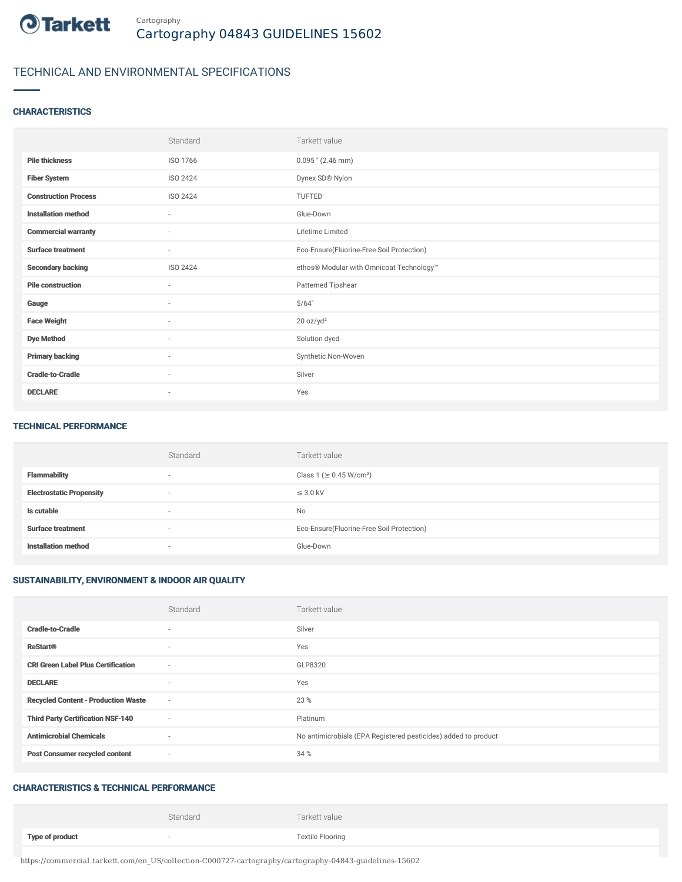

## TECHNICAL AND ENVIRONMENTAL SPECIFICATIONS

#### **CHARACTERISTICS**

|                             | Standard                 | Tarkett value                             |
|-----------------------------|--------------------------|-------------------------------------------|
| <b>Pile thickness</b>       | ISO 1766                 | $0.095$ " (2.46 mm)                       |
| <b>Fiber System</b>         | ISO 2424                 | Dynex SD® Nylon                           |
| <b>Construction Process</b> | ISO 2424                 | TUFTED                                    |
| <b>Installation method</b>  | $\sim$                   | Glue-Down                                 |
| <b>Commercial warranty</b>  | $\sim$                   | Lifetime Limited                          |
| <b>Surface treatment</b>    | $\sim$                   | Eco-Ensure(Fluorine-Free Soil Protection) |
| <b>Secondary backing</b>    | ISO 2424                 | ethos® Modular with Omnicoat Technology™  |
| <b>Pile construction</b>    | $\sim$                   | Patterned Tipshear                        |
| Gauge                       | ٠                        | 5/64"                                     |
| <b>Face Weight</b>          | $\sim$                   | 20 oz/yd <sup>2</sup>                     |
| <b>Dye Method</b>           | $\sim$                   | Solution dyed                             |
| <b>Primary backing</b>      | $\sim$                   | Synthetic Non-Woven                       |
| <b>Cradle-to-Cradle</b>     | $\sim$                   | Silver                                    |
| <b>DECLARE</b>              | $\overline{\phantom{a}}$ | Yes                                       |

#### TECHNICAL PERFORMANCE

|                                 | Standard                 | Tarkett value                             |
|---------------------------------|--------------------------|-------------------------------------------|
| <b>Flammability</b>             | $\overline{\phantom{a}}$ | Class 1 (≥ 0.45 W/cm <sup>2</sup> )       |
| <b>Electrostatic Propensity</b> | $\overline{\phantom{a}}$ | $\leq$ 3.0 kV                             |
| Is cutable                      | $\overline{\phantom{a}}$ | <b>No</b>                                 |
| <b>Surface treatment</b>        | $\overline{\phantom{a}}$ | Eco-Ensure(Fluorine-Free Soil Protection) |
| <b>Installation method</b>      | $\overline{\phantom{a}}$ | Glue-Down                                 |

### SUSTAINABILITY, ENVIRONMENT & INDOOR AIR QUALITY

|                                            | Standard                 | Tarkett value                                                  |
|--------------------------------------------|--------------------------|----------------------------------------------------------------|
| <b>Cradle-to-Cradle</b>                    | $\sim$                   | Silver                                                         |
| <b>ReStart®</b>                            | $\overline{\phantom{a}}$ | Yes                                                            |
| <b>CRI Green Label Plus Certification</b>  | $\sim$                   | GLP8320                                                        |
| <b>DECLARE</b>                             | $\overline{\phantom{a}}$ | Yes                                                            |
| <b>Recycled Content - Production Waste</b> | $\sim$                   | 23 %                                                           |
| <b>Third Party Certification NSF-140</b>   | $\sim$                   | Platinum                                                       |
| <b>Antimicrobial Chemicals</b>             | $\overline{\phantom{a}}$ | No antimicrobials (EPA Registered pesticides) added to product |
| <b>Post Consumer recycled content</b>      | $\sim$                   | 34 %                                                           |

#### CHARACTERISTICS & TECHNICAL PERFORMANCE

|                        | Standard | Tarkett value           |
|------------------------|----------|-------------------------|
| <b>Type of product</b> |          | <b>Textile Flooring</b> |